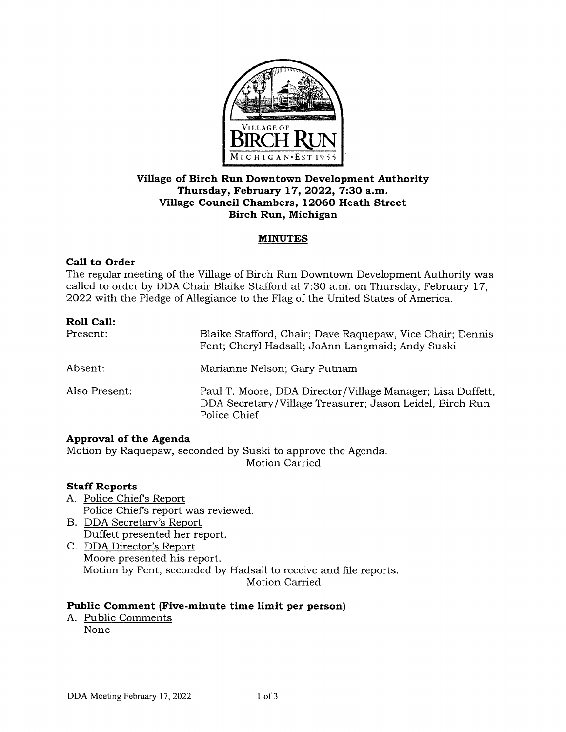

## **Village of Birch Run Downtown Development Authority Thursday, February 17, 2022, 7:30 a.m. Village Council Chambers, 12060 Heath Street Birch Run, Michigan**

### **MINUTES**

### **Call to Order**

The regular meeting of the Village of Birch Run Downtown Development Authority was called to order by DDA Chair Blaike Stafford at 7:30 a.m. on Thursday, February 17, 2022 with the Pledge of Allegiance to the Flag of the United States of America.

| Roll Call:    |                                                                                                                                        |
|---------------|----------------------------------------------------------------------------------------------------------------------------------------|
| Present:      | Blaike Stafford, Chair; Dave Raquepaw, Vice Chair; Dennis<br>Fent; Cheryl Hadsall; JoAnn Langmaid; Andy Suski                          |
| Absent:       | Marianne Nelson; Gary Putnam                                                                                                           |
| Also Present: | Paul T. Moore, DDA Director/Village Manager; Lisa Duffett,<br>DDA Secretary/Village Treasurer; Jason Leidel, Birch Run<br>Police Chief |

### **Approval of the Agenda**

Motion by Raquepaw, seconded by Suski to approve the Agenda. Motion Carried

## **Staff Reports**

- A. Police Chiefs Report Police Chiefs report was reviewed.
- B. DDA Secretary's Report Duffett presented her report.
- C. DDA Director's Report Moore presented his report. Motion by Fent, seconded by Hadsall to receive and file reports. Motion Carried

### **Public Comment (Five-minute time limit per person)**

A. Public Comments None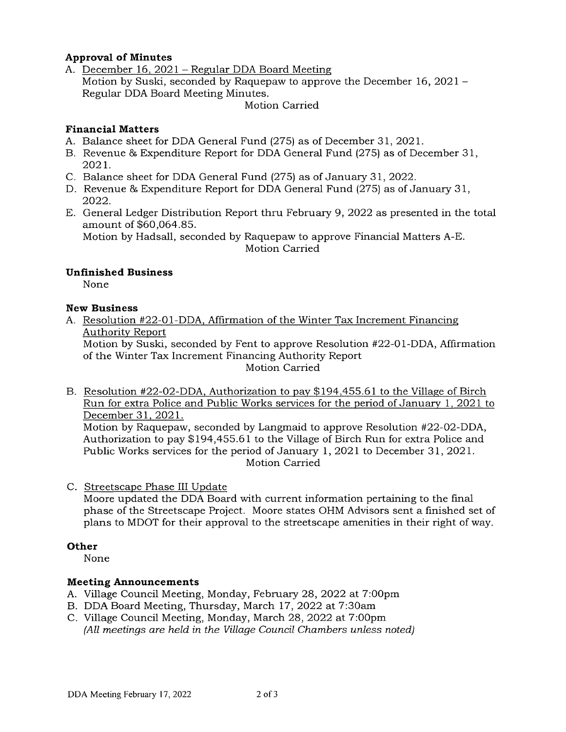# **Approval of Minutes**

A. December 16, 2021 - Regular DDA Board Meeting Motion by Suski, seconded by Raquepaw to approve the December 16, 2021 - Regular DDA Board Meeting Minutes.

Motion Carried

## **Financial Matters**

- A. Balance sheet for DDA General Fund (275) as of December 31, 2021.
- B. Revenue & Expenditure Report for DDA General Fund (275) as of December 31, 2021.
- C. Balance sheet for DDA General Fund (275) as of January 31, 2022.
- D. Revenue & Expenditure Report for DDA General Fund (275) as of January 31, 2022.
- E. General Ledger Distribution Report thru February 9, 2022 as presented in the total amount of \$60,064.85.

Motion by Hadsall, seconded by Raquepaw to approve Financial Matters A-E. Motion Carried

# **Unfinished Business**

None

## **New Business**

A. Resolution #22-01-DDA, Affirmation of the Winter Tax Increment Financing Authority Report

Motion by Suski, seconded by Fent to approve Resolution #22-01-DDA, Affirmation of the Winter Tax Increment Financing Authority Report

Motion Carried

B. Resolution #22-02-DDA, Authorization to pay \$194,455.61 to the Village of Birch Run for extra Police and Public Works services for the period of January 1, 2021 to December 31, 2021.

Motion by Raquepaw, seconded by Langmaid to approve Resolution #22-02-DDA, Authorization to pay \$194,455.61 to the Village of Birch Run for extra Police and Public Works services for the period of January 1, 2021 to December 31, 2021. Motion Carried

C. Streetscape Phase III Update

Moore updated the DDA Board with current information pertaining to the final phase of the Streetscape Project. Moore states OHM Advisors sent a finished set of plans to MDOT for their approval to the streetscape amenities in their right of way.

## **Other**

None

## **Meeting Announcements**

- A. Village Council Meeting, Monday, February 28, 2022 at 7:00pm
- B. DDA Board Meeting, Thursday, March 17, 2022 at 7:30am
- C. Village Council Meeting, Monday, March 28, 2022 at 7:00pm (All meetings are held in the Village Council Chambers unless noted)